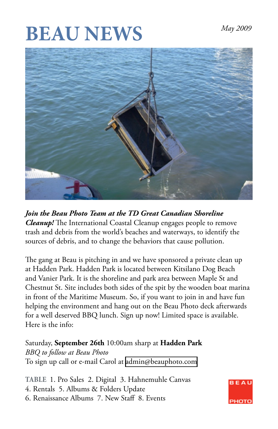# **BEAU NEWS** *May 2009*



*Join the Beau Photo Team at the TD Great Canadian Shoreline Cleanup!* The International Coastal Cleanup engages people to remove trash and debris from the world's beaches and waterways, to identify the sources of debris, and to change the behaviors that cause pollution.

The gang at Beau is pitching in and we have sponsored a private clean up at Hadden Park. Hadden Park is located between Kitsilano Dog Beach and Vanier Park. It is the shoreline and park area between Maple St and Chestnut St. Site includes both sides of the spit by the wooden boat marina in front of the Maritime Museum. So, if you want to join in and have fun helping the environment and hang out on the Beau Photo deck afterwards for a well deserved BBQ lunch. Sign up now! Limited space is available. Here is the info:

Saturday, **September 26th** 10:00am sharp at **Hadden Park** *BBQ to follow at Beau Photo* To sign up call or e-mail Carol at [admin@beauphoto.com](mailto:admin@beauphoto.com)

**TABLE** 1. Pro Sales 2. Digital 3. Hahnemuhle Canvas 4. Rentals 5. Albums & Folders Update 6. Renaissance Albums 7. New Staff 8. Events

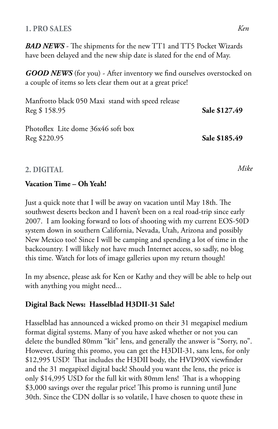#### **1. PRO SALES**

*BAD NEWS* - The shipments for the new TT1 and TT5 Pocket Wizards have been delayed and the new ship date is slated for the end of May.

*GOOD NEWS* (for you) - After inventory we find ourselves overstocked on a couple of items so lets clear them out at a great price!

| Manfrotto black 050 Maxi stand with speed release<br>Reg \$158.95 | Sale \$127.49 |
|-------------------------------------------------------------------|---------------|
| Photoflex Lite dome 36x46 soft box<br>Reg \$220.95                | Sale \$185.49 |

## **2. DIGITAL**

#### **Vacation Time – Oh Yeah!**

Just a quick note that I will be away on vacation until May 18th. The southwest deserts beckon and I haven't been on a real road-trip since early 2007. I am looking forward to lots of shooting with my current EOS-50D system down in southern California, Nevada, Utah, Arizona and possibly New Mexico too! Since I will be camping and spending a lot of time in the backcountry. I will likely not have much Internet access, so sadly, no blog this time. Watch for lots of image galleries upon my return though!

In my absence, please ask for Ken or Kathy and they will be able to help out with anything you might need...

## **Digital Back News: Hasselblad H3DII-31 Sale!**

Hasselblad has announced a wicked promo on their 31 megapixel medium format digital systems. Many of you have asked whether or not you can delete the bundled 80mm "kit" lens, and generally the answer is "Sorry, no". However, during this promo, you can get the H3DII-31, sans lens, for only \$12,995 USD! That includes the H3DII body, the HVD90X viewfinder and the 31 megapixel digital back! Should you want the lens, the price is only \$14,995 USD for the full kit with 80mm lens! That is a whopping \$3,000 savings over the regular price! This promo is running until June 30th. Since the CDN dollar is so volatile, I have chosen to quote these in

*Mike*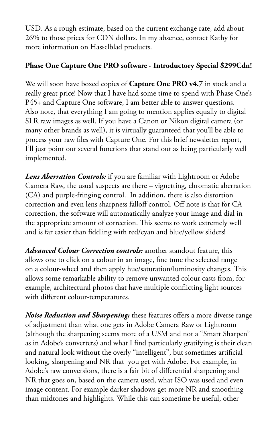USD. As a rough estimate, based on the current exchange rate, add about 26% to those prices for CDN dollars. In my absence, contact Kathy for more information on Hasselblad products.

## **Phase One Capture One PRO software - Introductory Special \$299Cdn!**

We will soon have boxed copies of **Capture One PRO v4.7** in stock and a really great price! Now that I have had some time to spend with Phase One's P45+ and Capture One software, I am better able to answer questions. Also note, that everything I am going to mention applies equally to digital SLR raw images as well. If you have a Canon or Nikon digital camera (or many other brands as well), it is virtually guaranteed that you'll be able to process your raw files with Capture One. For this brief newsletter report, I'll just point out several functions that stand out as being particularly well implemented.

*Lens Aberration Controls:* if you are familiar with Lightroom or Adobe Camera Raw, the usual suspects are there – vignetting, chromatic aberration (CA) and purple-fringing control. In addition, there is also distortion correction and even lens sharpness falloff control. Off note is that for CA correction, the software will automatically analyze your image and dial in the appropriate amount of correction. This seems to work extremely well and is far easier than fiddling with red/cyan and blue/yellow sliders!

*Advanced Colour Correction controls:* another standout feature, this allows one to click on a colour in an image, fine tune the selected range on a colour-wheel and then apply hue/saturation/luminosity changes. This allows some remarkable ability to remove unwanted colour casts from, for example, architectural photos that have multiple conflicting light sources with different colour-temperatures.

*Noise Reduction and Sharpening:* these features offers a more diverse range of adjustment than what one gets in Adobe Camera Raw or Lightroom (although the sharpening seems more of a USM and not a "Smart Sharpen" as in Adobe's converters) and what I find particularly gratifying is their clean and natural look without the overly "intelligent", but sometimes artificial looking, sharpening and NR that you get with Adobe. For example, in Adobe's raw conversions, there is a fair bit of differential sharpening and NR that goes on, based on the camera used, what ISO was used and even image content. For example darker shadows get more NR and smoothing than midtones and highlights. While this can sometime be useful, other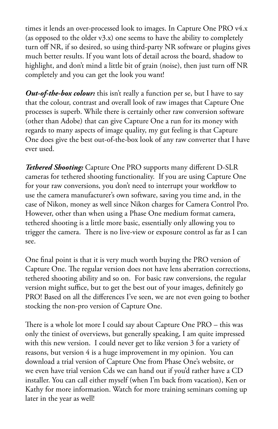times it lends an over-processed look to images. In Capture One PRO v4.x (as opposed to the older v3.x) one seems to have the ability to completely turn off NR, if so desired, so using third-party NR software or plugins gives much better results. If you want lots of detail across the board, shadow to highlight, and don't mind a little bit of grain (noise), then just turn off NR completely and you can get the look you want!

*Out-of-the-box colour:* this isn't really a function per se, but I have to say that the colour, contrast and overall look of raw images that Capture One processes is superb. While there is certainly other raw conversion software (other than Adobe) that can give Capture One a run for its money with regards to many aspects of image quality, my gut feeling is that Capture One does give the best out-of-the-box look of any raw converter that I have ever used.

*Tethered Shooting:* Capture One PRO supports many different D-SLR cameras for tethered shooting functionality. If you are using Capture One for your raw conversions, you don't need to interrupt your workflow to use the camera manufacturer's own software, saving you time and, in the case of Nikon, money as well since Nikon charges for Camera Control Pro. However, other than when using a Phase One medium format camera, tethered shooting is a little more basic, essentially only allowing you to trigger the camera. There is no live-view or exposure control as far as I can see.

One final point is that it is very much worth buying the PRO version of Capture One. The regular version does not have lens aberration corrections, tethered shooting ability and so on. For basic raw conversions, the regular version might suffice, but to get the best out of your images, definitely go PRO! Based on all the differences I've seen, we are not even going to bother stocking the non-pro version of Capture One.

There is a whole lot more I could say about Capture One PRO – this was only the tiniest of overviews, but generally speaking, I am quite impressed with this new version. I could never get to like version 3 for a variety of reasons, but version 4 is a huge improvement in my opinion. You can download a trial version of Capture One from Phase One's website, or we even have trial version Cds we can hand out if you'd rather have a CD installer. You can call either myself (when I'm back from vacation), Ken or Kathy for more information. Watch for more training seminars coming up later in the year as well!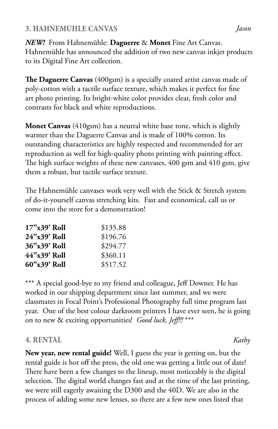## **3. HAHNEMUHLE CANVAS** *Jason*

*NEW!* From Hahnemühle: **Daguerre** & **Monet** Fine Art Canvas. Hahnemühle has announced the addition of two new canvas inkjet products to its Digital Fine Art collection.

**The Daguerre Canvas** (400gsm) is a specially coated artist canvas made of poly-cotton with a tactile surface texture, which makes it perfect for fine art photo printing. Its bright-white color provides clear, fresh color and contrasts for black and white reproductions.

**Monet Canvas** (410gsm) has a neutral white base tone, which is slightly warmer than the Daguerre Canvas and is made of 100% cotton. Its outstanding characteristics are highly respected and recommended for art reproduction as well for high-quality photo printing with painting effect. The high surface weights of these new canvases, 400 gsm and 410 gsm, give them a robust, but tactile surface texture.

The Hahnemühle canvases work very well with the Stick & Stretch system of do-it-yourself canvas stretching kits. Fast and economical, call us or come into the store for a demonstration!

| $17"$ x39' Roll | \$135.88 |
|-----------------|----------|
| 24"x39' Roll    | \$196.76 |
| 36"x39' Roll    | \$294.77 |
| 44"x39' Roll    | \$360.11 |
| 60"x39' Roll    | \$517.52 |

\*\*\* A special good-bye to my friend and colleague, Jeff Downer. He has worked in our shipping department since last summer, and we were classmates in Focal Point's Professional Photography full time program last year. One of the best colour darkroom printers I have ever seen, he is going on to new & exciting opportunities! *Good luck, Jeff!!!* \*\*\*

## **4. RENTAL** *Kathy*

**New year, new rental guide!** Well, I guess the year is getting on, but the rental guide is hot off the press, the old one was getting a little out of date! There have been a few changes to the lineup, most noticeably is the digital selection. The digital world changes fast and at the time of the last printing, we were still eagerly awaiting the D300 and the 40D. We are also in the process of adding some new lenses, so there are a few new ones listed that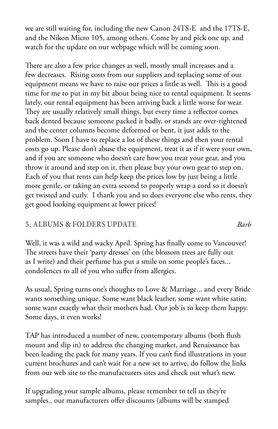we are still waiting for, including the new Canon 24TS-E and the 17TS-E, and the Nikon Micro 105, among others. Come by and pick one up, and watch for the update on our webpage which will be coming soon.

There are also a few price changes as well, mostly small increases and a few decreases. Rising costs from our suppliers and replacing some of our equipment means we have to raise our prices a little as well. This is a good time for me to put in my bit about being nice to rental equipment. It seems lately, our rental equipment has been arriving back a little worse for wear. They are usually relatively small things, but every time a reflector comes back dented because someone packed it badly, or stands are over-tightened and the center columns become deformed or bent, it just adds to the problem. Soon I have to replace a lot of these things and then your rental costs go up. Please don't abuse the equipment, treat it as if it were your own, and if you are someone who doesn't care how you treat your gear, and you throw it around and step on it, then please buy your own gear to step on. Each of you that rents can help keep the prices low by just being a little more gentle, or taking an extra second to properly wrap a cord so it doesn't get twisted and curly. I thank you and so does everyone else who rents, they get good looking equipment at lower prices!

## **5. ALBUMS & FOLDERS UPDATE** *Barb*

Well, it was a wild and wacky April. Spring has finally come to Vancouver! The streets have their 'party dresses' on (the blossom trees are fully out as I write) and their perfume has put a smile on some people's faces... condolences to all of you who suffer from allergies.

As usual, Spring turns one's thoughts to Love & Marriage... and every Bride wants something unique. Some want black leather, some want white satin; some want exactly what their mothers had. Our job is to keep them happy. Some days, it even works!

TAP has introduced a number of new, contemporary albums (both flush mount and slip in) to address the changing market, and Renaissance has been leading the pack for many years. If you can't find illustrations in your current brochures and can't wait for a new set to arrive, do follow the links from our web site to the manufacturers sites and check out what's new.

If upgrading your sample albums, please remember to tell us they're samples.. our manufacturers offer discounts (albums will be stamped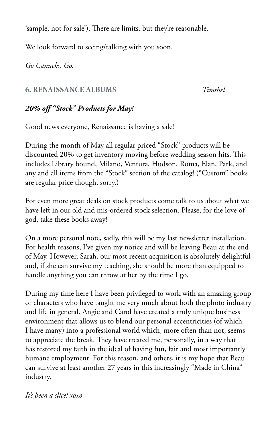'sample, not for sale'). There are limits, but they're reasonable.

We look forward to seeing/talking with you soon.

*Go Canucks, Go.*

## **6. RENAISSANCE ALBUMS** *Timshel*

# *20% off "Stock" Products for May!*

Good news everyone, Renaissance is having a sale!

During the month of May all regular priced "Stock" products will be discounted 20% to get inventory moving before wedding season hits. This includes Library bound, Milano, Ventura, Hudson, Roma, Elan, Park, and any and all items from the "Stock" section of the catalog! ("Custom" books are regular price though, sorry.)

For even more great deals on stock products come talk to us about what we have left in our old and mis-ordered stock selection. Please, for the love of god, take these books away!

On a more personal note, sadly, this will be my last newsletter installation. For health reasons, I've given my notice and will be leaving Beau at the end of May. However, Sarah, our most recent acquisition is absolutely delightful and, if she can survive my teaching, she should be more than equipped to handle anything you can throw at her by the time I go.

During my time here I have been privileged to work with an amazing group or characters who have taught me very much about both the photo industry and life in general. Angie and Carol have created a truly unique business environment that allows us to blend our personal eccentricities (of which I have many) into a professional world which, more often than not, seems to appreciate the break. They have treated me, personally, in a way that has restored my faith in the ideal of having fun, fair and most importantly humane employment. For this reason, and others, it is my hope that Beau can survive at least another 27 years in this increasingly "Made in China" industry.